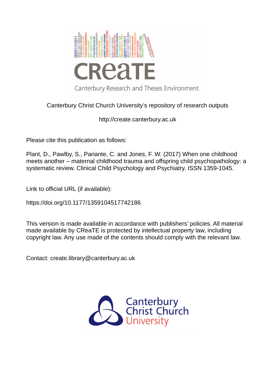

## Canterbury Christ Church University's repository of research outputs

http://create.canterbury.ac.uk

Please cite this publication as follows:

Plant, D., Pawlby, S., Pariante, C. and Jones, F. W. (2017) When one childhood meets another – maternal childhood trauma and offspring child psychopathology: a systematic review. Clinical Child Psychology and Psychiatry. ISSN 1359-1045.

Link to official URL (if available):

https://doi.org/10.1177/1359104517742186

This version is made available in accordance with publishers' policies. All material made available by CReaTE is protected by intellectual property law, including copyright law. Any use made of the contents should comply with the relevant law.

Contact: create.library@canterbury.ac.uk

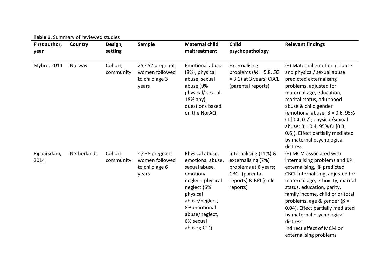| Table 1. Summary of reviewed studies |             |                      |                                                              |                                                                                                                                                                                                   |                                                                                                                                   |                                                                                                                                                                                                                                                                                                                                                                                                              |
|--------------------------------------|-------------|----------------------|--------------------------------------------------------------|---------------------------------------------------------------------------------------------------------------------------------------------------------------------------------------------------|-----------------------------------------------------------------------------------------------------------------------------------|--------------------------------------------------------------------------------------------------------------------------------------------------------------------------------------------------------------------------------------------------------------------------------------------------------------------------------------------------------------------------------------------------------------|
| First author,<br>year                | Country     | Design,<br>setting   | Sample                                                       | <b>Maternal child</b><br>maltreatment                                                                                                                                                             | Child<br>psychopathology                                                                                                          | <b>Relevant findings</b>                                                                                                                                                                                                                                                                                                                                                                                     |
| Myhre, 2014                          | Norway      | Cohort,<br>community | 25,452 pregnant<br>women followed<br>to child age 3<br>years | <b>Emotional abuse</b><br>(8%), physical<br>abuse, sexual<br>abuse (9%<br>physical/ sexual,<br>$18\%$ any);<br>questions based<br>on the NorAQ                                                    | Externalising<br>problems ( $M = 5.8$ , SD<br>$= 3.1$ ) at 3 years; CBCL<br>(parental reports)                                    | (+) Maternal emotional abuse<br>and physical/ sexual abuse<br>predicted externalising<br>problems, adjusted for<br>maternal age, education,<br>marital status, adulthood<br>abuse & child gender<br>(emotional abuse: $B = 0.6$ , 95%<br>CI [0.4, 0.7]; physical/sexual<br>abuse: B = 0.4, 95% CI [0.3,<br>0.6]). Effect partially mediated<br>by maternal psychological<br>distress                         |
| Rijlaarsdam,<br>2014                 | Netherlands | Cohort,<br>community | 4,438 pregnant<br>women followed<br>to child age 6<br>years  | Physical abuse,<br>emotional abuse,<br>sexual abuse,<br>emotional<br>neglect, physical<br>neglect (6%<br>physical<br>abuse/neglect,<br>8% emotional<br>abuse/neglect,<br>6% sexual<br>abuse); CTQ | Internalising (11%) &<br>externalising (7%)<br>problems at 6 years;<br><b>CBCL</b> (parental<br>reports) & BPI (child<br>reports) | (+) MCM associated with<br>internalising problems and BPI<br>externalising, & predicted<br>CBCL internalising, adjusted for<br>maternal age, ethnicity, marital<br>status, education, parity,<br>family income, child prior total<br>problems, age & gender ( $\beta$ =<br>0.04). Effect partially mediated<br>by maternal psychological<br>distress.<br>Indirect effect of MCM on<br>externalising problems |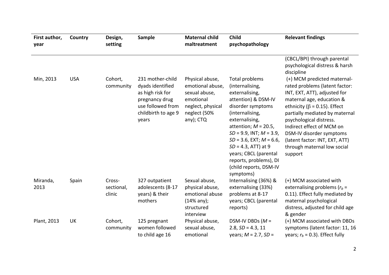| First author,<br>year | Country    | Design,<br>setting             | Sample                                                                                                                          | <b>Maternal child</b><br>maltreatment                                                                               | Child<br>psychopathology                                                                                                                                                                                                                                                                                                                              | <b>Relevant findings</b>                                                                                                                                                                                                                                                                                                                                            |
|-----------------------|------------|--------------------------------|---------------------------------------------------------------------------------------------------------------------------------|---------------------------------------------------------------------------------------------------------------------|-------------------------------------------------------------------------------------------------------------------------------------------------------------------------------------------------------------------------------------------------------------------------------------------------------------------------------------------------------|---------------------------------------------------------------------------------------------------------------------------------------------------------------------------------------------------------------------------------------------------------------------------------------------------------------------------------------------------------------------|
|                       |            |                                |                                                                                                                                 |                                                                                                                     |                                                                                                                                                                                                                                                                                                                                                       | (CBCL/BPI) through parental<br>psychological distress & harsh<br>discipline                                                                                                                                                                                                                                                                                         |
| Min, 2013             | <b>USA</b> | Cohort,<br>community           | 231 mother-child<br>dyads identified<br>as high risk for<br>pregnancy drug<br>use followed from<br>childbirth to age 9<br>years | Physical abuse,<br>emotional abuse,<br>sexual abuse,<br>emotional<br>neglect, physical<br>neglect (50%<br>any); CTQ | Total problems<br>(internalising,<br>externalising,<br>attention) & DSM-IV<br>disorder symptoms<br>(internalising,<br>externalising,<br>attention; $M = 20.5$ ,<br>$SD = 9.9$ , INT; $M = 3.9$ ,<br>$SD = 3.6$ , EXT; $M = 6.6$ ,<br>$SD = 4.3$ , ATT) at 9<br>years; CBCL (parental<br>reports, problems), DI<br>(child reports, DSM-IV<br>symptoms) | (+) MCM predicted maternal-<br>rated problems (latent factor:<br>INT, EXT, ATT), adjusted for<br>maternal age, education &<br>ethnicity ( $\beta$ = 0.15). Effect<br>partially mediated by maternal<br>psychological distress.<br>Indirect effect of MCM on<br>DSM-IV disorder symptoms<br>(latent factor: INT, EXT, ATT)<br>through maternal low social<br>support |
| Miranda,<br>2013      | Spain      | Cross-<br>sectional,<br>clinic | 327 outpatient<br>adolescents (8-17<br>years) & their<br>mothers                                                                | Sexual abuse,<br>physical abuse,<br>emotional abuse<br>$(14%$ any);<br>structured<br>interview                      | Internalising (36%) &<br>externalising (33%)<br>problems at 8-17<br>years; CBCL (parental<br>reports)                                                                                                                                                                                                                                                 | (+) MCM associated with<br>externalising problems $(r_b =$<br>0.11). Effect fully mediated by<br>maternal psychological<br>distress, adjusted for child age<br>& gender                                                                                                                                                                                             |
| Plant, 2013           | <b>UK</b>  | Cohort,<br>community           | 125 pregnant<br>women followed<br>to child age 16                                                                               | Physical abuse,<br>sexual abuse,<br>emotional                                                                       | DSM-IV DBDs ( $M =$<br>$2.8, SD = 4.3, 11$<br>years; $M = 2.7$ , $SD =$                                                                                                                                                                                                                                                                               | (+) MCM associated with DBDs<br>symptoms (latent factor: 11, 16<br>years; $r_b$ = 0.3). Effect fully                                                                                                                                                                                                                                                                |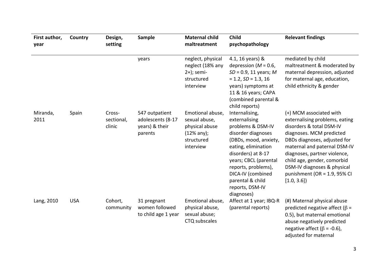| First author,<br>year | Country    | Design,<br>setting             | Sample                                                           | <b>Maternal child</b><br>maltreatment                                                          | Child<br>psychopathology                                                                                                                                                                                                                                                   | <b>Relevant findings</b>                                                                                                                                                                                                                                                                                                         |
|-----------------------|------------|--------------------------------|------------------------------------------------------------------|------------------------------------------------------------------------------------------------|----------------------------------------------------------------------------------------------------------------------------------------------------------------------------------------------------------------------------------------------------------------------------|----------------------------------------------------------------------------------------------------------------------------------------------------------------------------------------------------------------------------------------------------------------------------------------------------------------------------------|
|                       |            |                                | years                                                            | neglect, physical<br>neglect (18% any<br>$2+)$ ; semi-<br>structured<br>interview              | 4.1, 16 years) &<br>depression ( $M = 0.6$ ,<br>$SD = 0.9$ , 11 years; M<br>$= 1.2, SD = 1.3, 16$<br>years) symptoms at<br>11 & 16 years; CAPA<br>(combined parental &<br>child reports)                                                                                   | mediated by child<br>maltreatment & moderated by<br>maternal depression, adjusted<br>for maternal age, education,<br>child ethnicity & gender                                                                                                                                                                                    |
| Miranda,<br>2011      | Spain      | Cross-<br>sectional,<br>clinic | 547 outpatient<br>adolescents (8-17<br>years) & their<br>parents | Emotional abuse,<br>sexual abuse,<br>physical abuse<br>$(12%$ any);<br>structured<br>interview | Internalising,<br>externalising<br>problems & DSM-IV<br>disorder diagnoses<br>(DBDs, mood, anxiety,<br>eating, elimination<br>disorders) at 8-17<br>years; CBCL (parental<br>reports, problems),<br>DICA-IV (combined<br>parental & child<br>reports, DSM-IV<br>diagnoses) | (+) MCM associated with<br>externalising problems, eating<br>disorders & total DSM-IV<br>diagnoses. MCM predicted<br>DBDs diagnoses, adjusted for<br>maternal and paternal DSM-IV<br>diagnoses, partner violence,<br>child age, gender, comorbid<br>DSM-IV diagnoses & physical<br>punishment (OR = $1.9$ , 95% CI<br>[1.0, 3.6] |
| Lang, 2010            | <b>USA</b> | Cohort,<br>community           | 31 pregnant<br>women followed<br>to child age 1 year             | Emotional abuse,<br>physical abuse,<br>sexual abuse;<br>CTQ subscales                          | Affect at 1 year; IBQ-R<br>(parental reports)                                                                                                                                                                                                                              | (#) Maternal physical abuse<br>predicted negative affect ( $\beta$ =<br>0.5), but maternal emotional<br>abuse negatively predicted<br>negative affect ( $\beta$ = -0.6),<br>adjusted for maternal                                                                                                                                |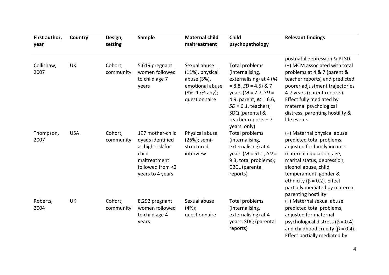| First author,<br>year | Country    | Design,<br>setting   | <b>Sample</b>                                                                                                             | <b>Maternal child</b><br>maltreatment                                                                   | Child<br>psychopathology                                                                                                                                                                                                                | <b>Relevant findings</b>                                                                                                                                                                                                                                                                               |
|-----------------------|------------|----------------------|---------------------------------------------------------------------------------------------------------------------------|---------------------------------------------------------------------------------------------------------|-----------------------------------------------------------------------------------------------------------------------------------------------------------------------------------------------------------------------------------------|--------------------------------------------------------------------------------------------------------------------------------------------------------------------------------------------------------------------------------------------------------------------------------------------------------|
| Collishaw,<br>2007    | UK         | Cohort,<br>community | 5,619 pregnant<br>women followed<br>to child age 7<br>years                                                               | Sexual abuse<br>$(11%)$ , physical<br>abuse (3%),<br>emotional abuse<br>(8%; 17% any);<br>questionnaire | Total problems<br>(internalising,<br>externalising) at 4 ( $M$<br>$= 8.8, SD = 4.5$ ) & 7<br>years ( $M = 7.7$ , $SD =$<br>4.9, parent; $M = 6.6$ ,<br>$SD = 6.1$ , teacher);<br>SDQ (parental &<br>teacher reports $-7$<br>years only) | postnatal depression & PTSD<br>(+) MCM associated with total<br>problems at 4 & 7 (parent &<br>teacher reports) and predicted<br>poorer adjustment trajectories<br>4-7 years (parent reports).<br>Effect fully mediated by<br>maternal psychological<br>distress, parenting hostility &<br>life events |
| Thompson,<br>2007     | <b>USA</b> | Cohort,<br>community | 197 mother-child<br>dyads identified<br>as high-risk for<br>child<br>maltreatment<br>followed from <2<br>years to 4 years | Physical abuse<br>(26%); semi-<br>structured<br>interview                                               | Total problems<br>(internalising,<br>externalising) at 4<br>years ( $M = 51.1$ , SD =<br>9.3, total problems);<br><b>CBCL</b> (parental<br>reports)                                                                                     | (+) Maternal physical abuse<br>predicted total problems,<br>adjusted for family income,<br>maternal education, age,<br>marital status, depression,<br>alcohol abuse, child<br>temperament, gender &<br>ethnicity ( $\beta$ = 0.2). Effect<br>partially mediated by maternal<br>parenting hostility     |
| Roberts,<br>2004      | UK         | Cohort,<br>community | 8,292 pregnant<br>women followed<br>to child age 4<br>years                                                               | Sexual abuse<br>$(4%)$ ;<br>questionnaire                                                               | Total problems<br>(internalising,<br>externalising) at 4<br>years; SDQ (parental<br>reports)                                                                                                                                            | (+) Maternal sexual abuse<br>predicted total problems,<br>adjusted for maternal<br>psychological distress ( $\beta$ = 0.4)<br>and childhood cruelty ( $\beta$ = 0.4).<br>Effect partially mediated by                                                                                                  |